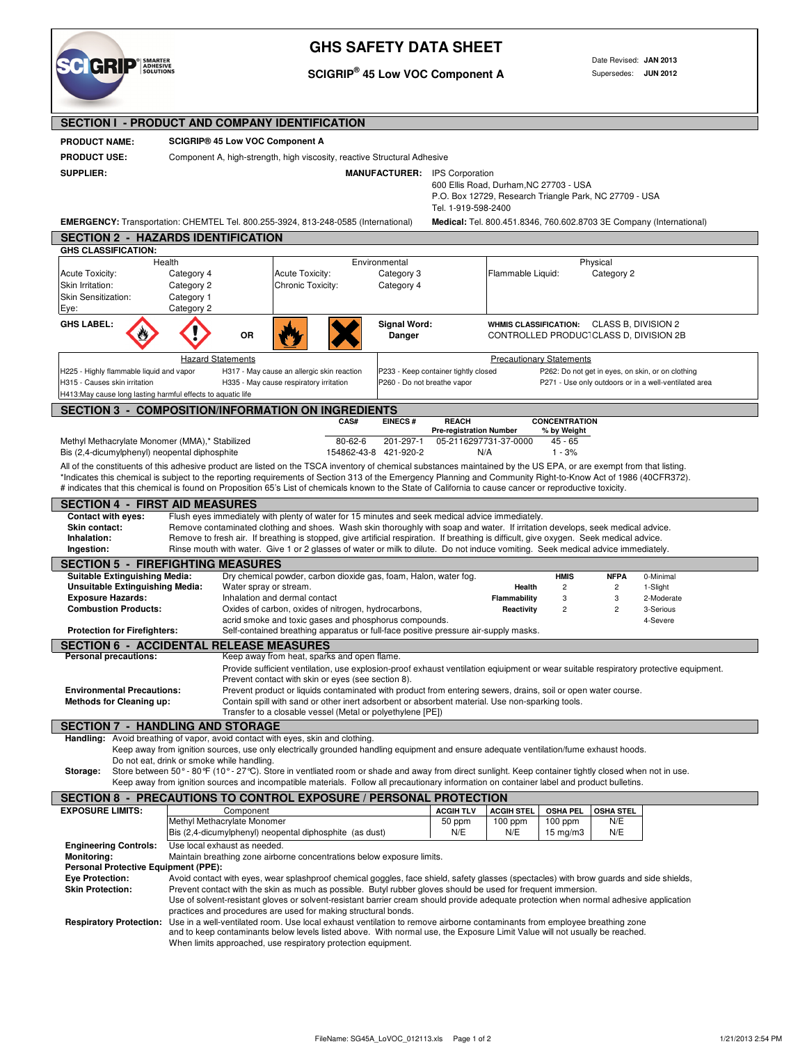

## **GHS SAFETY DATA SHEET**

**SCIGRIP® 45 Low VOC Component A**

Date Revised: **JAN 2013** Supersedes: **JUN 2012**

| <b>SECTION I - PRODUCT AND COMPANY IDENTIFICATION</b>                                                                                                                                                                                                                                                                                                                                                                                                                                             |                                                                                           |                                                                                                                                                                                                                                                                                                                           |                                                                                       |                                                                     |                                                                                                                                                                                                                                                                                                                                                                                                                                                                                                                  |                                                                                                                                                                 |                                |                                        |                         |                                                                                                                                       |
|---------------------------------------------------------------------------------------------------------------------------------------------------------------------------------------------------------------------------------------------------------------------------------------------------------------------------------------------------------------------------------------------------------------------------------------------------------------------------------------------------|-------------------------------------------------------------------------------------------|---------------------------------------------------------------------------------------------------------------------------------------------------------------------------------------------------------------------------------------------------------------------------------------------------------------------------|---------------------------------------------------------------------------------------|---------------------------------------------------------------------|------------------------------------------------------------------------------------------------------------------------------------------------------------------------------------------------------------------------------------------------------------------------------------------------------------------------------------------------------------------------------------------------------------------------------------------------------------------------------------------------------------------|-----------------------------------------------------------------------------------------------------------------------------------------------------------------|--------------------------------|----------------------------------------|-------------------------|---------------------------------------------------------------------------------------------------------------------------------------|
| <b>PRODUCT NAME:</b>                                                                                                                                                                                                                                                                                                                                                                                                                                                                              |                                                                                           | <b>SCIGRIP® 45 Low VOC Component A</b>                                                                                                                                                                                                                                                                                    |                                                                                       |                                                                     |                                                                                                                                                                                                                                                                                                                                                                                                                                                                                                                  |                                                                                                                                                                 |                                |                                        |                         |                                                                                                                                       |
| <b>PRODUCT USE:</b>                                                                                                                                                                                                                                                                                                                                                                                                                                                                               |                                                                                           |                                                                                                                                                                                                                                                                                                                           |                                                                                       |                                                                     | Component A, high-strength, high viscosity, reactive Structural Adhesive                                                                                                                                                                                                                                                                                                                                                                                                                                         |                                                                                                                                                                 |                                |                                        |                         |                                                                                                                                       |
| <b>SUPPLIER:</b>                                                                                                                                                                                                                                                                                                                                                                                                                                                                                  |                                                                                           |                                                                                                                                                                                                                                                                                                                           |                                                                                       |                                                                     |                                                                                                                                                                                                                                                                                                                                                                                                                                                                                                                  | <b>MANUFACTURER: IPS Corporation</b><br>600 Ellis Road, Durham, NC 27703 - USA<br>P.O. Box 12729, Research Triangle Park, NC 27709 - USA<br>Tel. 1-919-598-2400 |                                |                                        |                         |                                                                                                                                       |
|                                                                                                                                                                                                                                                                                                                                                                                                                                                                                                   | <b>EMERGENCY:</b> Transportation: CHEMTEL Tel. 800.255-3924, 813-248-0585 (International) |                                                                                                                                                                                                                                                                                                                           |                                                                                       | Medical: Tel. 800.451.8346, 760.602.8703 3E Company (International) |                                                                                                                                                                                                                                                                                                                                                                                                                                                                                                                  |                                                                                                                                                                 |                                |                                        |                         |                                                                                                                                       |
| <b>SECTION 2 - HAZARDS IDENTIFICATION</b>                                                                                                                                                                                                                                                                                                                                                                                                                                                         |                                                                                           |                                                                                                                                                                                                                                                                                                                           |                                                                                       |                                                                     |                                                                                                                                                                                                                                                                                                                                                                                                                                                                                                                  |                                                                                                                                                                 |                                |                                        |                         |                                                                                                                                       |
| <b>GHS CLASSIFICATION:</b>                                                                                                                                                                                                                                                                                                                                                                                                                                                                        | Health                                                                                    |                                                                                                                                                                                                                                                                                                                           |                                                                                       |                                                                     | Environmental                                                                                                                                                                                                                                                                                                                                                                                                                                                                                                    |                                                                                                                                                                 |                                |                                        | Physical                |                                                                                                                                       |
| Acute Toxicity:                                                                                                                                                                                                                                                                                                                                                                                                                                                                                   | Category 4                                                                                |                                                                                                                                                                                                                                                                                                                           | Acute Toxicity:                                                                       |                                                                     | Category 3                                                                                                                                                                                                                                                                                                                                                                                                                                                                                                       |                                                                                                                                                                 | Flammable Liquid:              |                                        | Category 2              |                                                                                                                                       |
| Skin Irritation:<br>Skin Sensitization:<br>Eye:                                                                                                                                                                                                                                                                                                                                                                                                                                                   | Category 2<br>Category 1<br>Category 2                                                    |                                                                                                                                                                                                                                                                                                                           | Chronic Toxicity:                                                                     |                                                                     | Category 4                                                                                                                                                                                                                                                                                                                                                                                                                                                                                                       |                                                                                                                                                                 |                                |                                        |                         |                                                                                                                                       |
| <b>GHS LABEL:</b>                                                                                                                                                                                                                                                                                                                                                                                                                                                                                 |                                                                                           | OR                                                                                                                                                                                                                                                                                                                        |                                                                                       |                                                                     | <b>Signal Word:</b><br>Danger                                                                                                                                                                                                                                                                                                                                                                                                                                                                                    |                                                                                                                                                                 | <b>WHMIS CLASSIFICATION:</b>   | CONTROLLED PRODUCTCLASS D, DIVISION 2B | CLASS B, DIVISION 2     |                                                                                                                                       |
|                                                                                                                                                                                                                                                                                                                                                                                                                                                                                                   |                                                                                           | <b>Hazard Statements</b>                                                                                                                                                                                                                                                                                                  |                                                                                       |                                                                     |                                                                                                                                                                                                                                                                                                                                                                                                                                                                                                                  |                                                                                                                                                                 |                                | <b>Precautionary Statements</b>        |                         |                                                                                                                                       |
| H225 - Highly flammable liquid and vapor<br>H315 - Causes skin irritation<br>H413: May cause long lasting harmful effects to aquatic life                                                                                                                                                                                                                                                                                                                                                         |                                                                                           |                                                                                                                                                                                                                                                                                                                           | H317 - May cause an allergic skin reaction<br>H335 - May cause respiratory irritation |                                                                     | P260 - Do not breathe vapor                                                                                                                                                                                                                                                                                                                                                                                                                                                                                      | P233 - Keep container tightly closed                                                                                                                            |                                |                                        |                         | P262: Do not get in eyes, on skin, or on clothing<br>P271 - Use only outdoors or in a well-ventilated area                            |
| <b>SECTION 3 - COMPOSITION/INFORMATION ON INGREDIENTS</b>                                                                                                                                                                                                                                                                                                                                                                                                                                         |                                                                                           |                                                                                                                                                                                                                                                                                                                           |                                                                                       |                                                                     |                                                                                                                                                                                                                                                                                                                                                                                                                                                                                                                  |                                                                                                                                                                 |                                |                                        |                         |                                                                                                                                       |
|                                                                                                                                                                                                                                                                                                                                                                                                                                                                                                   |                                                                                           |                                                                                                                                                                                                                                                                                                                           |                                                                                       | CAS#                                                                | <b>EINECS#</b>                                                                                                                                                                                                                                                                                                                                                                                                                                                                                                   | <b>REACH</b><br><b>Pre-registration Number</b>                                                                                                                  |                                | <b>CONCENTRATION</b><br>% by Weight    |                         |                                                                                                                                       |
| Methyl Methacrylate Monomer (MMA),* Stabilized                                                                                                                                                                                                                                                                                                                                                                                                                                                    |                                                                                           |                                                                                                                                                                                                                                                                                                                           |                                                                                       | $80 - 62 - 6$                                                       | 201-297-1                                                                                                                                                                                                                                                                                                                                                                                                                                                                                                        |                                                                                                                                                                 | 05-2116297731-37-0000          | $45 - 65$                              |                         |                                                                                                                                       |
| Bis (2,4-dicumylphenyl) neopental diphosphite                                                                                                                                                                                                                                                                                                                                                                                                                                                     |                                                                                           |                                                                                                                                                                                                                                                                                                                           |                                                                                       |                                                                     | 154862-43-8 421-920-2                                                                                                                                                                                                                                                                                                                                                                                                                                                                                            |                                                                                                                                                                 | N/A                            | $1 - 3%$                               |                         |                                                                                                                                       |
| All of the constituents of this adhesive product are listed on the TSCA inventory of chemical substances maintained by the US EPA, or are exempt from that listing.<br>*Indicates this chemical is subject to the reporting requirements of Section 313 of the Emergency Planning and Community Right-to-Know Act of 1986 (40CFR372).<br># indicates that this chemical is found on Proposition 65's List of chemicals known to the State of California to cause cancer or reproductive toxicity. |                                                                                           |                                                                                                                                                                                                                                                                                                                           |                                                                                       |                                                                     |                                                                                                                                                                                                                                                                                                                                                                                                                                                                                                                  |                                                                                                                                                                 |                                |                                        |                         |                                                                                                                                       |
| <b>SECTION 4 - FIRST AID MEASURES</b>                                                                                                                                                                                                                                                                                                                                                                                                                                                             |                                                                                           |                                                                                                                                                                                                                                                                                                                           |                                                                                       |                                                                     |                                                                                                                                                                                                                                                                                                                                                                                                                                                                                                                  |                                                                                                                                                                 |                                |                                        |                         |                                                                                                                                       |
| <b>Contact with eyes:</b><br><b>Skin contact:</b><br>Inhalation:<br>Ingestion:                                                                                                                                                                                                                                                                                                                                                                                                                    |                                                                                           |                                                                                                                                                                                                                                                                                                                           |                                                                                       |                                                                     | Flush eyes immediately with plenty of water for 15 minutes and seek medical advice immediately.<br>Remove contaminated clothing and shoes. Wash skin thoroughly with soap and water. If irritation develops, seek medical advice.<br>Remove to fresh air. If breathing is stopped, give artificial respiration. If breathing is difficult, give oxygen. Seek medical advice.<br>Rinse mouth with water. Give 1 or 2 glasses of water or milk to dilute. Do not induce vomiting. Seek medical advice immediately. |                                                                                                                                                                 |                                |                                        |                         |                                                                                                                                       |
| <b>SECTION 5 - FIREFIGHTING MEASURES</b>                                                                                                                                                                                                                                                                                                                                                                                                                                                          |                                                                                           |                                                                                                                                                                                                                                                                                                                           |                                                                                       |                                                                     |                                                                                                                                                                                                                                                                                                                                                                                                                                                                                                                  |                                                                                                                                                                 |                                |                                        |                         |                                                                                                                                       |
| <b>Suitable Extinguishing Media:</b>                                                                                                                                                                                                                                                                                                                                                                                                                                                              |                                                                                           |                                                                                                                                                                                                                                                                                                                           |                                                                                       |                                                                     | Dry chemical powder, carbon dioxide gas, foam, Halon, water fog.                                                                                                                                                                                                                                                                                                                                                                                                                                                 |                                                                                                                                                                 |                                | <b>HMIS</b>                            | <b>NFPA</b>             | 0-Minimal                                                                                                                             |
| <b>Unsuitable Extinguishing Media:</b>                                                                                                                                                                                                                                                                                                                                                                                                                                                            |                                                                                           | Water spray or stream.                                                                                                                                                                                                                                                                                                    |                                                                                       |                                                                     |                                                                                                                                                                                                                                                                                                                                                                                                                                                                                                                  |                                                                                                                                                                 | Health                         | $\overline{\mathbf{c}}$                | $\overline{c}$          | 1-Slight                                                                                                                              |
| <b>Exposure Hazards:</b><br><b>Combustion Products:</b>                                                                                                                                                                                                                                                                                                                                                                                                                                           |                                                                                           |                                                                                                                                                                                                                                                                                                                           | Inhalation and dermal contact                                                         | Oxides of carbon, oxides of nitrogen, hydrocarbons,                 |                                                                                                                                                                                                                                                                                                                                                                                                                                                                                                                  |                                                                                                                                                                 | Flammability<br>Reactivity     | 3<br>$\overline{c}$                    | 3<br>$\overline{c}$     | 2-Moderate<br>3-Serious                                                                                                               |
|                                                                                                                                                                                                                                                                                                                                                                                                                                                                                                   |                                                                                           |                                                                                                                                                                                                                                                                                                                           |                                                                                       |                                                                     | acrid smoke and toxic gases and phosphorus compounds.                                                                                                                                                                                                                                                                                                                                                                                                                                                            |                                                                                                                                                                 |                                |                                        |                         | 4-Severe                                                                                                                              |
| <b>Protection for Firefighters:</b>                                                                                                                                                                                                                                                                                                                                                                                                                                                               |                                                                                           |                                                                                                                                                                                                                                                                                                                           |                                                                                       |                                                                     | Self-contained breathing apparatus or full-face positive pressure air-supply masks.                                                                                                                                                                                                                                                                                                                                                                                                                              |                                                                                                                                                                 |                                |                                        |                         |                                                                                                                                       |
| <b>SECTION 6 - ACCIDENTAL RELEASE MEASURES</b><br><b>Personal precautions:</b>                                                                                                                                                                                                                                                                                                                                                                                                                    |                                                                                           |                                                                                                                                                                                                                                                                                                                           |                                                                                       | Keep away from heat, sparks and open flame.                         |                                                                                                                                                                                                                                                                                                                                                                                                                                                                                                                  |                                                                                                                                                                 |                                |                                        |                         |                                                                                                                                       |
| <b>Environmental Precautions:</b><br><b>Methods for Cleaning up:</b>                                                                                                                                                                                                                                                                                                                                                                                                                              |                                                                                           |                                                                                                                                                                                                                                                                                                                           |                                                                                       | Prevent contact with skin or eyes (see section 8).                  | Prevent product or liquids contaminated with product from entering sewers, drains, soil or open water course.<br>Contain spill with sand or other inert adsorbent or absorbent material. Use non-sparking tools.<br>I ranster to a closable vessel (Metal or polyethylene [PE])                                                                                                                                                                                                                                  |                                                                                                                                                                 |                                |                                        |                         | Provide sufficient ventilation, use explosion-proof exhaust ventilation eqiuipment or wear suitable respiratory protective equipment. |
| <b>SECTION 7 - HANDLING AND STORAGE</b>                                                                                                                                                                                                                                                                                                                                                                                                                                                           |                                                                                           |                                                                                                                                                                                                                                                                                                                           |                                                                                       |                                                                     |                                                                                                                                                                                                                                                                                                                                                                                                                                                                                                                  |                                                                                                                                                                 |                                |                                        |                         |                                                                                                                                       |
| Handling: Avoid breathing of vapor, avoid contact with eyes, skin and clothing.<br>Storage:                                                                                                                                                                                                                                                                                                                                                                                                       | Do not eat, drink or smoke while handling.                                                |                                                                                                                                                                                                                                                                                                                           |                                                                                       |                                                                     | Keep away from ignition sources, use only electrically grounded handling equipment and ensure adequate ventilation/fume exhaust hoods.<br>Store between 50° - 80°F (10° - 27°C). Store in ventliated room or shade and away from direct sunlight. Keep container tightly closed when not in use.<br>Keep away from ignition sources and incompatible materials. Follow all precautionary information on container label and product bulletins.                                                                   |                                                                                                                                                                 |                                |                                        |                         |                                                                                                                                       |
| SECTION 8 - PRECAUTIONS TO CONTROL EXPOSURE / PERSONAL PROTECTION                                                                                                                                                                                                                                                                                                                                                                                                                                 |                                                                                           |                                                                                                                                                                                                                                                                                                                           |                                                                                       |                                                                     |                                                                                                                                                                                                                                                                                                                                                                                                                                                                                                                  |                                                                                                                                                                 |                                |                                        |                         |                                                                                                                                       |
| <b>EXPOSURE LIMITS:</b>                                                                                                                                                                                                                                                                                                                                                                                                                                                                           |                                                                                           | Component<br>Methyl Methacrylate Monomer                                                                                                                                                                                                                                                                                  |                                                                                       |                                                                     |                                                                                                                                                                                                                                                                                                                                                                                                                                                                                                                  | <b>ACGIH TLV</b><br>50 ppm                                                                                                                                      | <b>ACGIH STEL</b><br>$100$ ppm | <b>OSHA PEL</b><br>$100$ ppm           | <b>OSHA STEL</b><br>N/E |                                                                                                                                       |
|                                                                                                                                                                                                                                                                                                                                                                                                                                                                                                   |                                                                                           |                                                                                                                                                                                                                                                                                                                           |                                                                                       | Bis (2,4-dicumylphenyl) neopental diphosphite (as dust)             |                                                                                                                                                                                                                                                                                                                                                                                                                                                                                                                  | N/E                                                                                                                                                             | N/E                            | $15 \text{ mg/m}$                      | N/E                     |                                                                                                                                       |
| <b>Engineering Controls:</b>                                                                                                                                                                                                                                                                                                                                                                                                                                                                      |                                                                                           | Use local exhaust as needed.                                                                                                                                                                                                                                                                                              |                                                                                       |                                                                     |                                                                                                                                                                                                                                                                                                                                                                                                                                                                                                                  |                                                                                                                                                                 |                                |                                        |                         |                                                                                                                                       |
| <b>Monitoring:</b><br><b>Personal Protective Equipment (PPE):</b>                                                                                                                                                                                                                                                                                                                                                                                                                                 |                                                                                           |                                                                                                                                                                                                                                                                                                                           |                                                                                       |                                                                     | Maintain breathing zone airborne concentrations below exposure limits.                                                                                                                                                                                                                                                                                                                                                                                                                                           |                                                                                                                                                                 |                                |                                        |                         |                                                                                                                                       |
| <b>Eve Protection:</b>                                                                                                                                                                                                                                                                                                                                                                                                                                                                            |                                                                                           |                                                                                                                                                                                                                                                                                                                           |                                                                                       |                                                                     | Avoid contact with eyes, wear splashproof chemical goggles, face shield, safety glasses (spectacles) with brow guards and side shields,                                                                                                                                                                                                                                                                                                                                                                          |                                                                                                                                                                 |                                |                                        |                         |                                                                                                                                       |
| <b>Skin Protection:</b>                                                                                                                                                                                                                                                                                                                                                                                                                                                                           |                                                                                           |                                                                                                                                                                                                                                                                                                                           |                                                                                       |                                                                     | Prevent contact with the skin as much as possible. Butyl rubber gloves should be used for frequent immersion.<br>Use of solvent-resistant gloves or solvent-resistant barrier cream should provide adequate protection when normal adhesive application                                                                                                                                                                                                                                                          |                                                                                                                                                                 |                                |                                        |                         |                                                                                                                                       |
| <b>Respiratory Protection:</b>                                                                                                                                                                                                                                                                                                                                                                                                                                                                    |                                                                                           | practices and procedures are used for making structural bonds.<br>Use in a well-ventilated room. Use local exhaust ventilation to remove airborne contaminants from employee breathing zone<br>and to keep contaminants below levels listed above. With normal use, the Exposure Limit Value will not usually be reached. |                                                                                       |                                                                     |                                                                                                                                                                                                                                                                                                                                                                                                                                                                                                                  |                                                                                                                                                                 |                                |                                        |                         |                                                                                                                                       |
|                                                                                                                                                                                                                                                                                                                                                                                                                                                                                                   |                                                                                           |                                                                                                                                                                                                                                                                                                                           |                                                                                       | When limits approached, use respiratory protection equipment.       |                                                                                                                                                                                                                                                                                                                                                                                                                                                                                                                  |                                                                                                                                                                 |                                |                                        |                         |                                                                                                                                       |